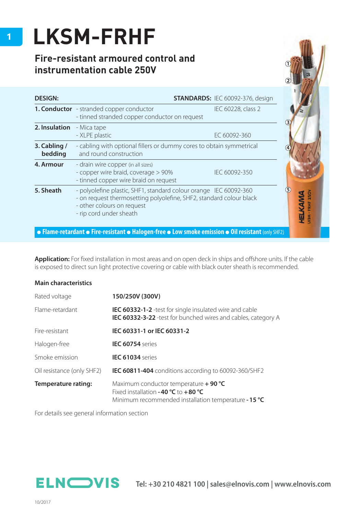## **LKSM-FRHF**

## **Fire-resistant armoured control and instrumentation cable 250V**

| LKSM-FRHF<br>Fire-resistant armoured control and<br>instrumentation cable 250V                     |                                                                                                                                                                                                   |                                         |                             |  |  |  |  |
|----------------------------------------------------------------------------------------------------|---------------------------------------------------------------------------------------------------------------------------------------------------------------------------------------------------|-----------------------------------------|-----------------------------|--|--|--|--|
| <b>DESIGN:</b>                                                                                     |                                                                                                                                                                                                   | <b>STANDARDS: IEC 60092-376, design</b> |                             |  |  |  |  |
|                                                                                                    | <b>1. Conductor</b> - stranded copper conductor<br>- tinned stranded copper conductor on request                                                                                                  | IEC 60228, class 2                      |                             |  |  |  |  |
| 2. Insulation                                                                                      | - Mica tape<br>- XLPE plastic                                                                                                                                                                     | EC 60092-360                            |                             |  |  |  |  |
| 3. Cabling /<br>bedding                                                                            | - cabling with optional fillers or dummy cores to obtain symmetrical<br>and round construction                                                                                                    |                                         |                             |  |  |  |  |
| 4. Armour                                                                                          | - drain wire copper (in all sizes)<br>- copper wire braid, coverage > 90%<br>- tinned copper wire braid on request                                                                                | IEC 60092-350                           |                             |  |  |  |  |
| 5. Sheath                                                                                          | - polyolefine plastic, SHF1, standard colour orange IEC 60092-360<br>- on request thermosetting polyolefine, SHF2, standard colour black<br>- other colours on request<br>- rip cord under sheath |                                         | <b>KSM-FRHF 250</b><br>HETK |  |  |  |  |
| • Flame-retardant • Fire-resistant • Halogen-free • Low smoke emission • Oil resistant (only SHF2) |                                                                                                                                                                                                   |                                         |                             |  |  |  |  |

Application: For fixed installation in most areas and on open deck in ships and offshore units. If the cable is exposed to direct sun light protective covering or cable with black outer sheath is recommended.

## **Main characteristics**

| Rated voltage              | 150/250V (300V)                                                                                                                          |  |  |  |  |
|----------------------------|------------------------------------------------------------------------------------------------------------------------------------------|--|--|--|--|
| Flame-retardant            | <b>IEC 60332-1-2</b> -test for single insulated wire and cable<br>IEC 60332-3-22 -test for bunched wires and cables, category A          |  |  |  |  |
| Fire-resistant             | IEC 60331-1 or IEC 60331-2                                                                                                               |  |  |  |  |
| Halogen-free               | <b>IEC 60754</b> series                                                                                                                  |  |  |  |  |
| Smoke emission             | <b>IEC 61034</b> series                                                                                                                  |  |  |  |  |
| Oil resistance (only SHF2) | IEC 60811-404 conditions according to 60092-360/SHF2                                                                                     |  |  |  |  |
| Temperature rating:        | Maximum conductor temperature $+$ 90 °C<br>Fixed installation -40 $°C$ to +80 °C<br>Minimum recommended installation temperature - 15 °C |  |  |  |  |

For details see general information section